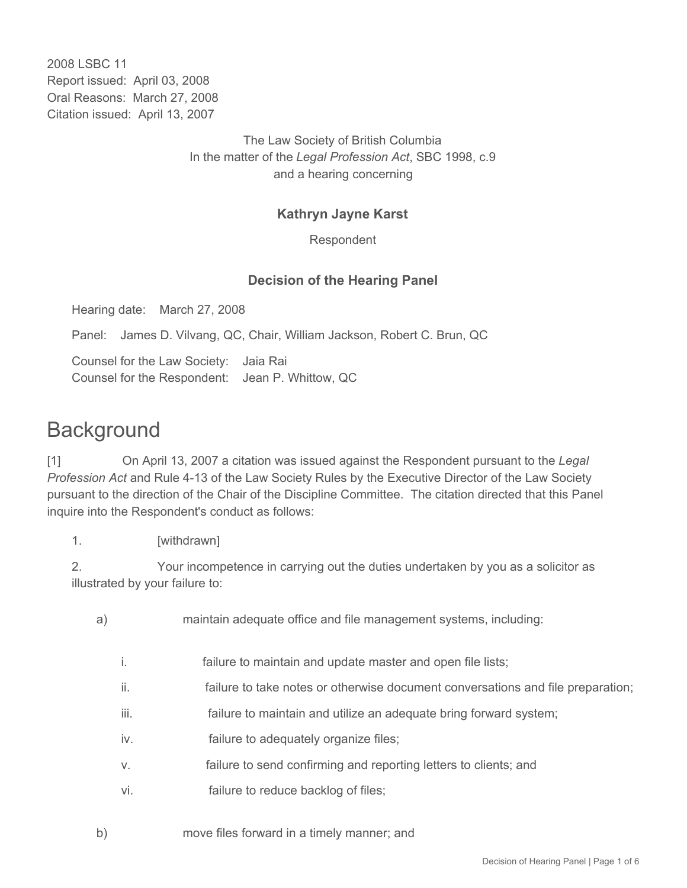2008 LSBC 11 Report issued: April 03, 2008 Oral Reasons: March 27, 2008 Citation issued: April 13, 2007

> The Law Society of British Columbia In the matter of the *Legal Profession Act*, SBC 1998, c.9 and a hearing concerning

## **Kathryn Jayne Karst**

Respondent

## **Decision of the Hearing Panel**

Hearing date: March 27, 2008

Panel: James D. Vilvang, QC, Chair, William Jackson, Robert C. Brun, QC

Counsel for the Law Society: Jaia Rai Counsel for the Respondent: Jean P. Whittow, QC

## **Background**

[1] On April 13, 2007 a citation was issued against the Respondent pursuant to the *Legal Profession Act* and Rule 4-13 of the Law Society Rules by the Executive Director of the Law Society pursuant to the direction of the Chair of the Discipline Committee. The citation directed that this Panel inquire into the Respondent's conduct as follows:

1. [withdrawn]

2. Your incompetence in carrying out the duties undertaken by you as a solicitor as illustrated by your failure to:

- a) maintain adequate office and file management systems, including:
	- i. failure to maintain and update master and open file lists;
	- ii. failure to take notes or otherwise document conversations and file preparation;
	- iii. **Failure to maintain and utilize an adequate bring forward system;**
	- iv. failure to adequately organize files;
	- v. failure to send confirming and reporting letters to clients; and
	- vi. failure to reduce backlog of files;
- b) move files forward in a timely manner; and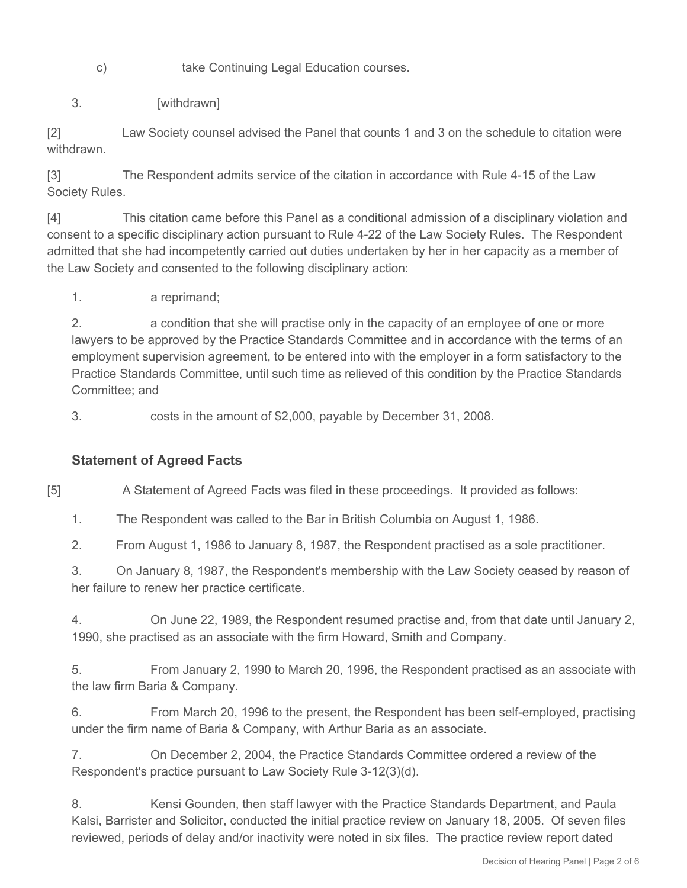c) take Continuing Legal Education courses.

3. [withdrawn]

[2] Law Society counsel advised the Panel that counts 1 and 3 on the schedule to citation were withdrawn.

[3] The Respondent admits service of the citation in accordance with Rule 4-15 of the Law Society Rules.

[4] This citation came before this Panel as a conditional admission of a disciplinary violation and consent to a specific disciplinary action pursuant to Rule 4-22 of the Law Society Rules. The Respondent admitted that she had incompetently carried out duties undertaken by her in her capacity as a member of the Law Society and consented to the following disciplinary action:

1. a reprimand;

2. a condition that she will practise only in the capacity of an employee of one or more lawyers to be approved by the Practice Standards Committee and in accordance with the terms of an employment supervision agreement, to be entered into with the employer in a form satisfactory to the Practice Standards Committee, until such time as relieved of this condition by the Practice Standards Committee; and

3. costs in the amount of \$2,000, payable by December 31, 2008.

## **Statement of Agreed Facts**

[5] A Statement of Agreed Facts was filed in these proceedings. It provided as follows:

1. The Respondent was called to the Bar in British Columbia on August 1, 1986.

2. From August 1, 1986 to January 8, 1987, the Respondent practised as a sole practitioner.

3. On January 8, 1987, the Respondent's membership with the Law Society ceased by reason of her failure to renew her practice certificate.

4. On June 22, 1989, the Respondent resumed practise and, from that date until January 2, 1990, she practised as an associate with the firm Howard, Smith and Company.

5. From January 2, 1990 to March 20, 1996, the Respondent practised as an associate with the law firm Baria & Company.

6. From March 20, 1996 to the present, the Respondent has been self-employed, practising under the firm name of Baria & Company, with Arthur Baria as an associate.

7. On December 2, 2004, the Practice Standards Committee ordered a review of the Respondent's practice pursuant to Law Society Rule 3-12(3)(d).

8. Kensi Gounden, then staff lawyer with the Practice Standards Department, and Paula Kalsi, Barrister and Solicitor, conducted the initial practice review on January 18, 2005. Of seven files reviewed, periods of delay and/or inactivity were noted in six files. The practice review report dated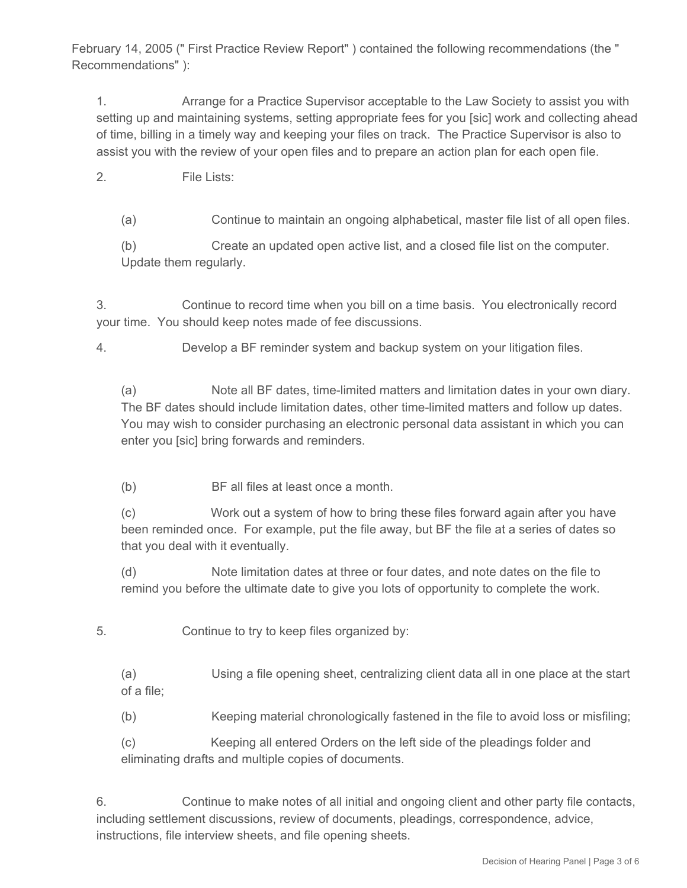February 14, 2005 (" First Practice Review Report" ) contained the following recommendations (the " Recommendations" ):

1. Arrange for a Practice Supervisor acceptable to the Law Society to assist you with setting up and maintaining systems, setting appropriate fees for you [sic] work and collecting ahead of time, billing in a timely way and keeping your files on track. The Practice Supervisor is also to assist you with the review of your open files and to prepare an action plan for each open file.

- 2. File Lists:
	- (a) Continue to maintain an ongoing alphabetical, master file list of all open files.

(b) Create an updated open active list, and a closed file list on the computer. Update them regularly.

3. Continue to record time when you bill on a time basis. You electronically record your time. You should keep notes made of fee discussions.

4. Develop a BF reminder system and backup system on your litigation files.

(a) Note all BF dates, time-limited matters and limitation dates in your own diary. The BF dates should include limitation dates, other time-limited matters and follow up dates. You may wish to consider purchasing an electronic personal data assistant in which you can enter you [sic] bring forwards and reminders.

(b) BF all files at least once a month.

(c) Work out a system of how to bring these files forward again after you have been reminded once. For example, put the file away, but BF the file at a series of dates so that you deal with it eventually.

(d) Note limitation dates at three or four dates, and note dates on the file to remind you before the ultimate date to give you lots of opportunity to complete the work.

5. Continue to try to keep files organized by:

(a) Using a file opening sheet, centralizing client data all in one place at the start of a file;

(b) Keeping material chronologically fastened in the file to avoid loss or misfiling;

(c) Keeping all entered Orders on the left side of the pleadings folder and eliminating drafts and multiple copies of documents.

6. Continue to make notes of all initial and ongoing client and other party file contacts, including settlement discussions, review of documents, pleadings, correspondence, advice, instructions, file interview sheets, and file opening sheets.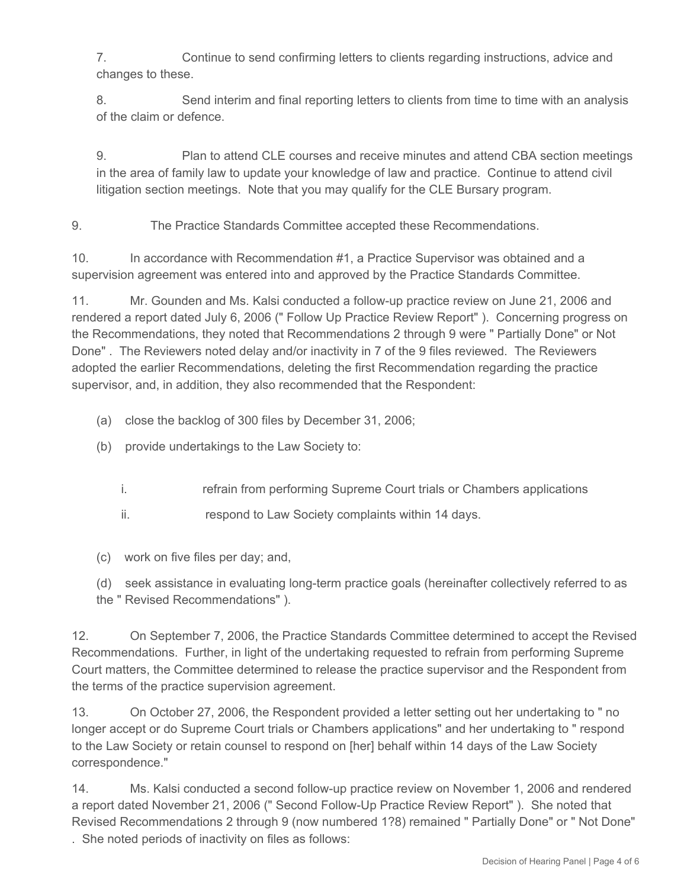7. Continue to send confirming letters to clients regarding instructions, advice and changes to these.

8. Send interim and final reporting letters to clients from time to time with an analysis of the claim or defence.

9. Plan to attend CLE courses and receive minutes and attend CBA section meetings in the area of family law to update your knowledge of law and practice. Continue to attend civil litigation section meetings. Note that you may qualify for the CLE Bursary program.

9. The Practice Standards Committee accepted these Recommendations.

10. In accordance with Recommendation #1, a Practice Supervisor was obtained and a supervision agreement was entered into and approved by the Practice Standards Committee.

11. Mr. Gounden and Ms. Kalsi conducted a follow-up practice review on June 21, 2006 and rendered a report dated July 6, 2006 (" Follow Up Practice Review Report" ). Concerning progress on the Recommendations, they noted that Recommendations 2 through 9 were " Partially Done" or Not Done" . The Reviewers noted delay and/or inactivity in 7 of the 9 files reviewed. The Reviewers adopted the earlier Recommendations, deleting the first Recommendation regarding the practice supervisor, and, in addition, they also recommended that the Respondent:

- (a) close the backlog of 300 files by December 31, 2006;
- (b) provide undertakings to the Law Society to:
	- i. **refrain from performing Supreme Court trials or Chambers applications**
	- ii. **respond to Law Society complaints within 14 days.**
- (c) work on five files per day; and,

(d) seek assistance in evaluating long-term practice goals (hereinafter collectively referred to as the " Revised Recommendations" ).

12. On September 7, 2006, the Practice Standards Committee determined to accept the Revised Recommendations. Further, in light of the undertaking requested to refrain from performing Supreme Court matters, the Committee determined to release the practice supervisor and the Respondent from the terms of the practice supervision agreement.

13. On October 27, 2006, the Respondent provided a letter setting out her undertaking to " no longer accept or do Supreme Court trials or Chambers applications" and her undertaking to " respond to the Law Society or retain counsel to respond on [her] behalf within 14 days of the Law Society correspondence."

14. Ms. Kalsi conducted a second follow-up practice review on November 1, 2006 and rendered a report dated November 21, 2006 (" Second Follow-Up Practice Review Report" ). She noted that Revised Recommendations 2 through 9 (now numbered 1?8) remained " Partially Done" or " Not Done" . She noted periods of inactivity on files as follows: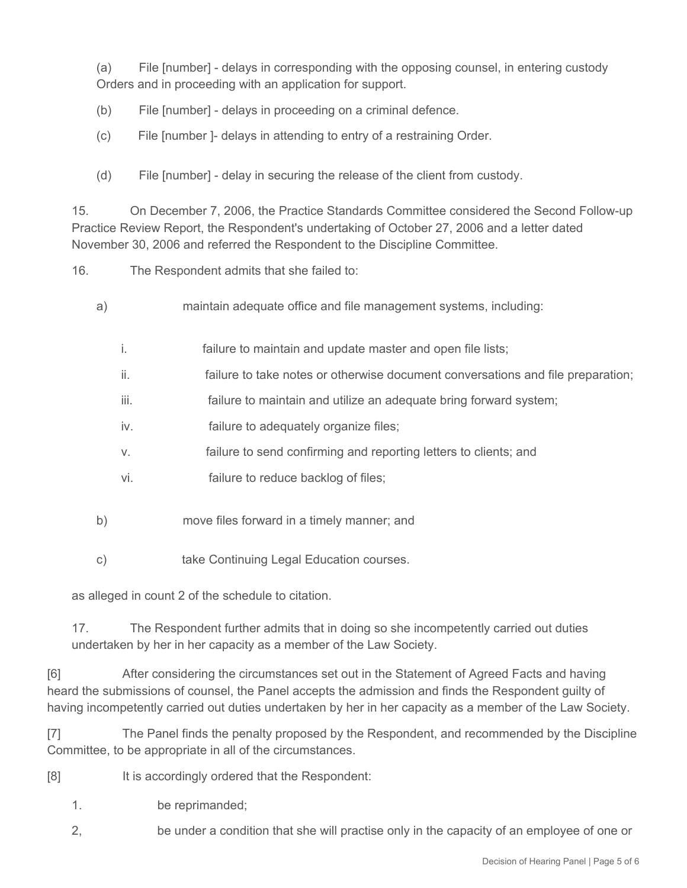(a) File [number] - delays in corresponding with the opposing counsel, in entering custody Orders and in proceeding with an application for support.

- (b) File [number] delays in proceeding on a criminal defence.
- (c) File [number ]- delays in attending to entry of a restraining Order.
- (d) File [number] delay in securing the release of the client from custody.

15. On December 7, 2006, the Practice Standards Committee considered the Second Follow-up Practice Review Report, the Respondent's undertaking of October 27, 2006 and a letter dated November 30, 2006 and referred the Respondent to the Discipline Committee.

16. The Respondent admits that she failed to:

- a) maintain adequate office and file management systems, including:
	- i. failure to maintain and update master and open file lists;
	- ii. failure to take notes or otherwise document conversations and file preparation;
	- iii. **Failure to maintain and utilize an adequate bring forward system;**
	- iv. failure to adequately organize files;
	- v. failure to send confirming and reporting letters to clients; and
	- vi. failure to reduce backlog of files;
- b) move files forward in a timely manner; and
- c) take Continuing Legal Education courses.

as alleged in count 2 of the schedule to citation.

17. The Respondent further admits that in doing so she incompetently carried out duties undertaken by her in her capacity as a member of the Law Society.

[6] After considering the circumstances set out in the Statement of Agreed Facts and having heard the submissions of counsel, the Panel accepts the admission and finds the Respondent guilty of having incompetently carried out duties undertaken by her in her capacity as a member of the Law Society.

[7] The Panel finds the penalty proposed by the Respondent, and recommended by the Discipline Committee, to be appropriate in all of the circumstances.

- [8] It is accordingly ordered that the Respondent:
	- 1. be reprimanded;
	- 2, be under a condition that she will practise only in the capacity of an employee of one or